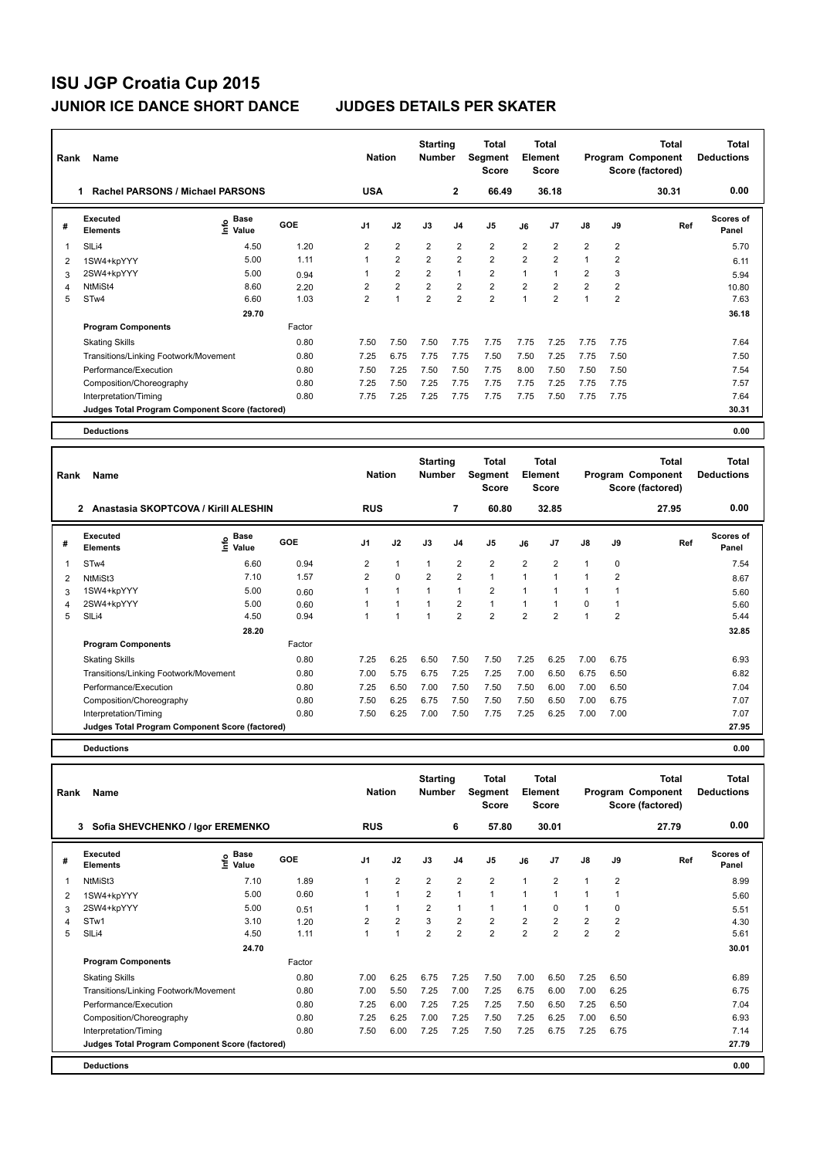| Rank | <b>Name</b>                                     |                              |        | <b>Nation</b>  |                | <b>Starting</b><br><b>Number</b> |                | Total<br>Segment<br><b>Score</b> |                | <b>Total</b><br>Element<br><b>Score</b> |                |                | <b>Total</b><br>Program Component<br>Score (factored) | <b>Total</b><br><b>Deductions</b> |
|------|-------------------------------------------------|------------------------------|--------|----------------|----------------|----------------------------------|----------------|----------------------------------|----------------|-----------------------------------------|----------------|----------------|-------------------------------------------------------|-----------------------------------|
|      | Rachel PARSONS / Michael PARSONS<br>1           |                              |        | <b>USA</b>     |                |                                  | $\overline{2}$ | 66.49                            |                | 36.18                                   |                |                | 30.31                                                 | 0.00                              |
| #    | Executed<br><b>Elements</b>                     | <b>Base</b><br>Info<br>Value | GOE    | J <sub>1</sub> | J2             | J3                               | J <sub>4</sub> | J <sub>5</sub>                   | J6             | J7                                      | $\mathsf{J}8$  | J9             | Ref                                                   | Scores of<br>Panel                |
| 1    | SILi4                                           | 4.50                         | 1.20   | $\overline{2}$ | $\overline{2}$ | $\overline{2}$                   | $\overline{2}$ | $\overline{2}$                   | $\overline{2}$ | 2                                       | $\overline{2}$ | 2              |                                                       | 5.70                              |
| 2    | 1SW4+kpYYY                                      | 5.00                         | 1.11   | 1              | $\overline{2}$ | $\overline{2}$                   | $\overline{2}$ | $\overline{2}$                   | $\overline{2}$ | $\overline{2}$                          | $\mathbf{1}$   | 2              |                                                       | 6.11                              |
| 3    | 2SW4+kpYYY                                      | 5.00                         | 0.94   |                | $\overline{2}$ | $\overline{2}$                   | $\mathbf{1}$   | $\overline{2}$                   | 1              | 1                                       | $\overline{2}$ | 3              |                                                       | 5.94                              |
| 4    | NtMiSt4                                         | 8.60                         | 2.20   | $\overline{2}$ | $\overline{2}$ | $\overline{2}$                   | $\overline{2}$ | $\overline{2}$                   | $\overline{2}$ | 2                                       | $\overline{2}$ | $\overline{2}$ |                                                       | 10.80                             |
| 5    | STw4                                            | 6.60                         | 1.03   | $\overline{2}$ | 1              | $\overline{2}$                   | $\overline{2}$ | $\overline{2}$                   | $\overline{1}$ | $\overline{2}$                          | $\overline{1}$ | $\overline{2}$ |                                                       | 7.63                              |
|      |                                                 | 29.70                        |        |                |                |                                  |                |                                  |                |                                         |                |                |                                                       | 36.18                             |
|      | <b>Program Components</b>                       |                              | Factor |                |                |                                  |                |                                  |                |                                         |                |                |                                                       |                                   |
|      | <b>Skating Skills</b>                           |                              | 0.80   | 7.50           | 7.50           | 7.50                             | 7.75           | 7.75                             | 7.75           | 7.25                                    | 7.75           | 7.75           |                                                       | 7.64                              |
|      | Transitions/Linking Footwork/Movement           |                              | 0.80   | 7.25           | 6.75           | 7.75                             | 7.75           | 7.50                             | 7.50           | 7.25                                    | 7.75           | 7.50           |                                                       | 7.50                              |
|      | Performance/Execution                           |                              | 0.80   | 7.50           | 7.25           | 7.50                             | 7.50           | 7.75                             | 8.00           | 7.50                                    | 7.50           | 7.50           |                                                       | 7.54                              |
|      | Composition/Choreography                        |                              | 0.80   | 7.25           | 7.50           | 7.25                             | 7.75           | 7.75                             | 7.75           | 7.25                                    | 7.75           | 7.75           |                                                       | 7.57                              |
|      | Interpretation/Timing                           |                              | 0.80   | 7.75           | 7.25           | 7.25                             | 7.75           | 7.75                             | 7.75           | 7.50                                    | 7.75           | 7.75           |                                                       | 7.64                              |
|      | Judges Total Program Component Score (factored) |                              |        |                |                |                                  |                |                                  |                |                                         |                |                |                                                       | 30.31                             |
|      | <b>Deductions</b>                               |                              |        |                |                |                                  |                |                                  |                |                                         |                |                |                                                       | 0.00                              |

| Rank | Name                                                 |                                           |        | <b>Nation</b>  |                      | <b>Starting</b><br><b>Number</b> |                | Total<br>Segment<br><b>Score</b> |                | <b>Total</b><br>Element<br>Score |                |                | <b>Total</b><br>Program Component<br>Score (factored) | Total<br><b>Deductions</b> |
|------|------------------------------------------------------|-------------------------------------------|--------|----------------|----------------------|----------------------------------|----------------|----------------------------------|----------------|----------------------------------|----------------|----------------|-------------------------------------------------------|----------------------------|
|      | Anastasia SKOPTCOVA / Kirill ALESHIN<br>$\mathbf{2}$ |                                           |        | <b>RUS</b>     |                      |                                  | 7              | 60.80                            |                | 32.85                            |                |                | 27.95                                                 | 0.00                       |
| #    | Executed<br><b>Elements</b>                          | $\frac{e}{E}$ Base<br>$\frac{e}{E}$ Value | GOE    | J <sub>1</sub> | J2                   | J3                               | J <sub>4</sub> | J <sub>5</sub>                   | J6             | J7                               | $\mathsf{J}8$  | J9             | Ref                                                   | Scores of<br>Panel         |
| 1    | STw4                                                 | 6.60                                      | 0.94   | $\overline{2}$ | $\mathbf{1}$         |                                  | $\overline{2}$ | $\overline{2}$                   | $\overline{2}$ | $\overline{2}$                   | $\overline{1}$ | 0              |                                                       | 7.54                       |
| 2    | NtMiSt3                                              | 7.10                                      | 1.57   | $\overline{2}$ | $\mathbf 0$          | $\overline{2}$                   | $\overline{2}$ | $\mathbf{1}$                     | $\overline{1}$ | $\overline{ }$                   |                | 2              |                                                       | 8.67                       |
| 3    | 1SW4+kpYYY                                           | 5.00                                      | 0.60   | 1              | $\blacktriangleleft$ |                                  | $\mathbf{1}$   | $\overline{2}$                   | $\mathbf{1}$   |                                  |                |                |                                                       | 5.60                       |
| 4    | 2SW4+kpYYY                                           | 5.00                                      | 0.60   |                | 1                    |                                  | $\overline{2}$ | $\mathbf{1}$                     | 1              |                                  | 0              |                |                                                       | 5.60                       |
| 5    | SILi4                                                | 4.50                                      | 0.94   |                | 1                    |                                  | $\overline{2}$ | $\overline{2}$                   | $\overline{2}$ | $\overline{2}$                   |                | $\overline{2}$ |                                                       | 5.44                       |
|      |                                                      | 28.20                                     |        |                |                      |                                  |                |                                  |                |                                  |                |                |                                                       | 32.85                      |
|      | <b>Program Components</b>                            |                                           | Factor |                |                      |                                  |                |                                  |                |                                  |                |                |                                                       |                            |
|      | <b>Skating Skills</b>                                |                                           | 0.80   | 7.25           | 6.25                 | 6.50                             | 7.50           | 7.50                             | 7.25           | 6.25                             | 7.00           | 6.75           |                                                       | 6.93                       |
|      | Transitions/Linking Footwork/Movement                |                                           | 0.80   | 7.00           | 5.75                 | 6.75                             | 7.25           | 7.25                             | 7.00           | 6.50                             | 6.75           | 6.50           |                                                       | 6.82                       |
|      | Performance/Execution                                |                                           | 0.80   | 7.25           | 6.50                 | 7.00                             | 7.50           | 7.50                             | 7.50           | 6.00                             | 7.00           | 6.50           |                                                       | 7.04                       |
|      | Composition/Choreography                             |                                           | 0.80   | 7.50           | 6.25                 | 6.75                             | 7.50           | 7.50                             | 7.50           | 6.50                             | 7.00           | 6.75           |                                                       | 7.07                       |
|      | Interpretation/Timing                                |                                           | 0.80   | 7.50           | 6.25                 | 7.00                             | 7.50           | 7.75                             | 7.25           | 6.25                             | 7.00           | 7.00           |                                                       | 7.07                       |
|      | Judges Total Program Component Score (factored)      |                                           |        |                |                      |                                  |                |                                  |                |                                  |                |                |                                                       | 27.95                      |
|      | <b>Deductions</b>                                    |                                           |        |                |                      |                                  |                |                                  |                |                                  |                |                |                                                       | 0.00                       |

| Rank | Name                                            |                                    |        | <b>Nation</b>  |                | <b>Starting</b><br>Number |                | <b>Total</b><br>Segment<br><b>Score</b> |                | Total<br>Element<br><b>Score</b> |                      |                | Total<br>Program Component<br>Score (factored) | Total<br><b>Deductions</b> |
|------|-------------------------------------------------|------------------------------------|--------|----------------|----------------|---------------------------|----------------|-----------------------------------------|----------------|----------------------------------|----------------------|----------------|------------------------------------------------|----------------------------|
|      | 3 Sofia SHEVCHENKO / Igor EREMENKO              |                                    |        | <b>RUS</b>     |                |                           | 6              | 57.80                                   |                | 30.01                            |                      |                | 27.79                                          | 0.00                       |
| #    | Executed<br><b>Elements</b>                     | <b>Base</b><br>$\frac{6}{5}$ Value | GOE    | J <sub>1</sub> | J2             | J3                        | J <sub>4</sub> | J5                                      | J6             | J7                               | $\mathsf{J}8$        | J9             | Ref                                            | <b>Scores of</b><br>Panel  |
|      | NtMiSt3                                         | 7.10                               | 1.89   |                | $\overline{2}$ | $\overline{2}$            | $\overline{2}$ | $\overline{2}$                          | $\mathbf{1}$   | 2                                | $\mathbf{1}$         | 2              |                                                | 8.99                       |
| 2    | 1SW4+kpYYY                                      | 5.00                               | 0.60   |                | $\overline{1}$ | $\overline{2}$            | $\mathbf{1}$   | $\mathbf{1}$                            | 1              | 1                                | $\blacktriangleleft$ |                |                                                | 5.60                       |
| 3    | 2SW4+kpYYY                                      | 5.00                               | 0.51   |                |                | 2                         | $\overline{1}$ | $\mathbf{1}$                            | 1              | 0                                | 1                    | 0              |                                                | 5.51                       |
| 4    | STw1                                            | 3.10                               | 1.20   | $\overline{2}$ | $\overline{2}$ | 3                         | $\overline{2}$ | $\overline{2}$                          | $\overline{2}$ | $\overline{2}$                   | $\overline{2}$       | $\overline{2}$ |                                                | 4.30                       |
| 5    | SILi4                                           | 4.50                               | 1.11   |                | $\overline{1}$ | $\overline{2}$            | $\overline{2}$ | $\overline{2}$                          | $\overline{2}$ | $\overline{2}$                   | $\overline{2}$       | $\overline{2}$ |                                                | 5.61                       |
|      |                                                 | 24.70                              |        |                |                |                           |                |                                         |                |                                  |                      |                |                                                | 30.01                      |
|      | <b>Program Components</b>                       |                                    | Factor |                |                |                           |                |                                         |                |                                  |                      |                |                                                |                            |
|      | <b>Skating Skills</b>                           |                                    | 0.80   | 7.00           | 6.25           | 6.75                      | 7.25           | 7.50                                    | 7.00           | 6.50                             | 7.25                 | 6.50           |                                                | 6.89                       |
|      | Transitions/Linking Footwork/Movement           |                                    | 0.80   | 7.00           | 5.50           | 7.25                      | 7.00           | 7.25                                    | 6.75           | 6.00                             | 7.00                 | 6.25           |                                                | 6.75                       |
|      | Performance/Execution                           |                                    | 0.80   | 7.25           | 6.00           | 7.25                      | 7.25           | 7.25                                    | 7.50           | 6.50                             | 7.25                 | 6.50           |                                                | 7.04                       |
|      | Composition/Choreography                        |                                    | 0.80   | 7.25           | 6.25           | 7.00                      | 7.25           | 7.50                                    | 7.25           | 6.25                             | 7.00                 | 6.50           |                                                | 6.93                       |
|      | Interpretation/Timing                           |                                    | 0.80   | 7.50           | 6.00           | 7.25                      | 7.25           | 7.50                                    | 7.25           | 6.75                             | 7.25                 | 6.75           |                                                | 7.14                       |
|      | Judges Total Program Component Score (factored) |                                    |        |                |                |                           |                |                                         |                |                                  |                      |                |                                                | 27.79                      |
|      | <b>Deductions</b>                               |                                    |        |                |                |                           |                |                                         |                |                                  |                      |                |                                                | 0.00                       |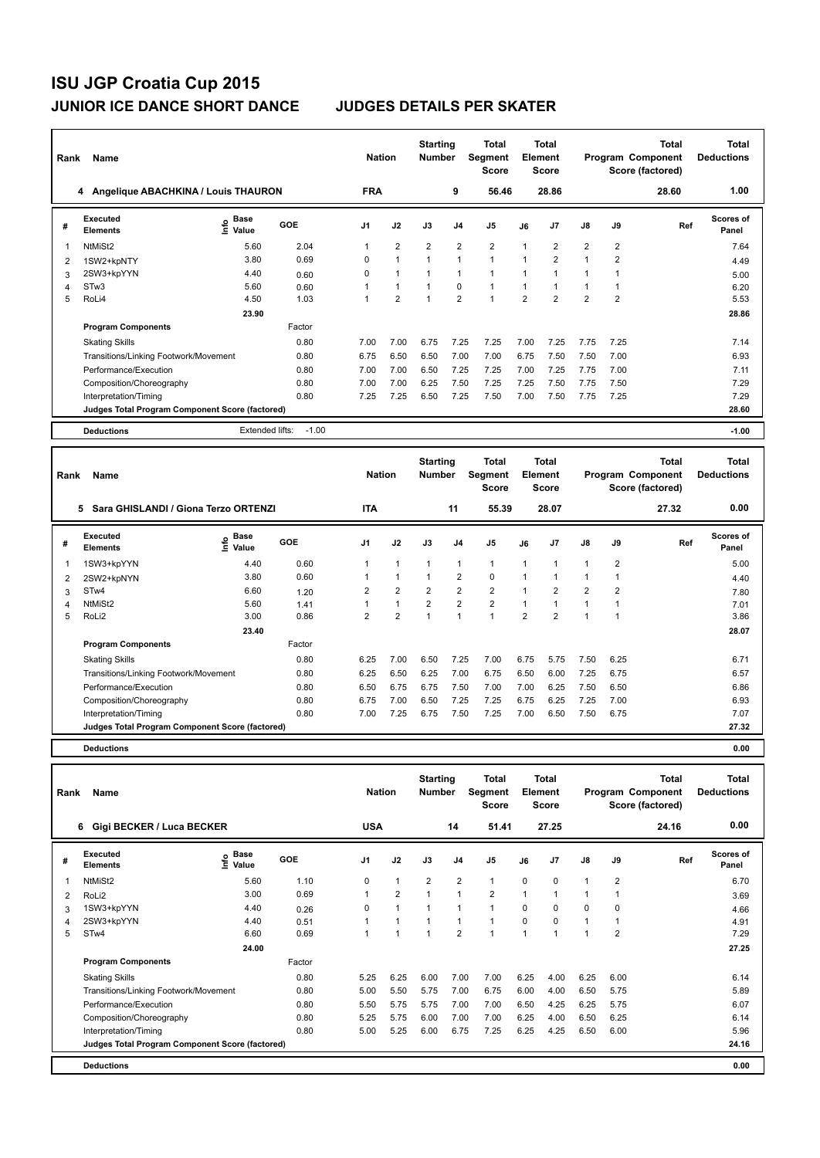| Rank | Name                                            |                              |         | <b>Nation</b>  |                      | <b>Starting</b><br><b>Number</b> |                | Total<br><b>Segment</b><br><b>Score</b> |                | Total<br>Element<br><b>Score</b> |                |                | Total<br>Program Component<br>Score (factored) | <b>Total</b><br><b>Deductions</b> |
|------|-------------------------------------------------|------------------------------|---------|----------------|----------------------|----------------------------------|----------------|-----------------------------------------|----------------|----------------------------------|----------------|----------------|------------------------------------------------|-----------------------------------|
|      | Angelique ABACHKINA / Louis THAURON<br>4        |                              |         | <b>FRA</b>     |                      |                                  | 9              | 56.46                                   |                | 28.86                            |                |                | 28.60                                          | 1.00                              |
| #    | Executed<br><b>Elements</b>                     | <b>Base</b><br>lnfo<br>Value | GOE     | J <sub>1</sub> | J2                   | J3                               | J <sub>4</sub> | J <sub>5</sub>                          | J6             | J <sub>7</sub>                   | J8             | J9             | Ref                                            | Scores of<br>Panel                |
|      | NtMiSt2                                         | 5.60                         | 2.04    |                | $\overline{2}$       | $\overline{2}$                   | $\overline{2}$ | $\overline{2}$                          | 1              | $\overline{2}$                   | $\overline{2}$ | $\overline{2}$ |                                                | 7.64                              |
| 2    | 1SW2+kpNTY                                      | 3.80                         | 0.69    | 0              | $\blacktriangleleft$ | $\mathbf{1}$                     | $\mathbf{1}$   | $\mathbf{1}$                            | 1              | $\overline{2}$                   | $\mathbf 1$    | $\overline{2}$ |                                                | 4.49                              |
| 3    | 2SW3+kpYYN                                      | 4.40                         | 0.60    | 0              | $\mathbf{1}$         | $\mathbf{1}$                     | $\mathbf{1}$   | $\mathbf{1}$                            | 1              | 1                                | 1              | 1              |                                                | 5.00                              |
| 4    | STw <sub>3</sub>                                | 5.60                         | 0.60    |                | $\mathbf{1}$         | 1                                | $\mathbf 0$    | 1                                       | 1              | 1                                | 1              |                |                                                | 6.20                              |
| 5    | RoLi4                                           | 4.50                         | 1.03    |                | $\overline{2}$       | $\overline{1}$                   | $\overline{2}$ | $\overline{ }$                          | $\overline{2}$ | $\overline{2}$                   | $\overline{2}$ | $\overline{2}$ |                                                | 5.53                              |
|      |                                                 | 23.90                        |         |                |                      |                                  |                |                                         |                |                                  |                |                |                                                | 28.86                             |
|      | <b>Program Components</b>                       |                              | Factor  |                |                      |                                  |                |                                         |                |                                  |                |                |                                                |                                   |
|      | <b>Skating Skills</b>                           |                              | 0.80    | 7.00           | 7.00                 | 6.75                             | 7.25           | 7.25                                    | 7.00           | 7.25                             | 7.75           | 7.25           |                                                | 7.14                              |
|      | Transitions/Linking Footwork/Movement           |                              | 0.80    | 6.75           | 6.50                 | 6.50                             | 7.00           | 7.00                                    | 6.75           | 7.50                             | 7.50           | 7.00           |                                                | 6.93                              |
|      | Performance/Execution                           |                              | 0.80    | 7.00           | 7.00                 | 6.50                             | 7.25           | 7.25                                    | 7.00           | 7.25                             | 7.75           | 7.00           |                                                | 7.11                              |
|      | Composition/Choreography                        |                              | 0.80    | 7.00           | 7.00                 | 6.25                             | 7.50           | 7.25                                    | 7.25           | 7.50                             | 7.75           | 7.50           |                                                | 7.29                              |
|      | Interpretation/Timing                           |                              | 0.80    | 7.25           | 7.25                 | 6.50                             | 7.25           | 7.50                                    | 7.00           | 7.50                             | 7.75           | 7.25           |                                                | 7.29                              |
|      | Judges Total Program Component Score (factored) |                              |         |                |                      |                                  |                |                                         |                |                                  |                |                |                                                | 28.60                             |
|      | <b>Deductions</b>                               | Extended lifts:              | $-1.00$ |                |                      |                                  |                |                                         |                |                                  |                |                |                                                | $-1.00$                           |

| Rank | Name                                            |                                           |        | <b>Nation</b>  |                | <b>Starting</b><br><b>Number</b> |                | Total<br>Segment<br><b>Score</b> |                | <b>Total</b><br>Element<br>Score |                |                | <b>Total</b><br>Program Component<br>Score (factored) | Total<br><b>Deductions</b> |
|------|-------------------------------------------------|-------------------------------------------|--------|----------------|----------------|----------------------------------|----------------|----------------------------------|----------------|----------------------------------|----------------|----------------|-------------------------------------------------------|----------------------------|
|      | Sara GHISLANDI / Giona Terzo ORTENZI<br>5       |                                           |        | <b>ITA</b>     |                |                                  | 11             | 55.39                            |                | 28.07                            |                |                | 27.32                                                 | 0.00                       |
| #    | Executed<br><b>Elements</b>                     | $\frac{e}{E}$ Base<br>$\frac{e}{E}$ Value | GOE    | J <sub>1</sub> | J2             | J3                               | J <sub>4</sub> | J <sub>5</sub>                   | J6             | J <sub>7</sub>                   | $\mathsf{J}8$  | J9             | Ref                                                   | Scores of<br>Panel         |
|      | 1SW3+kpYYN                                      | 4.40                                      | 0.60   | 1              | $\mathbf{1}$   |                                  | $\mathbf{1}$   | $\mathbf{1}$                     | $\mathbf{1}$   |                                  |                | $\overline{2}$ |                                                       | 5.00                       |
| 2    | 2SW2+kpNYN                                      | 3.80                                      | 0.60   |                | $\mathbf{1}$   |                                  | $\overline{2}$ | $\mathbf 0$                      | $\mathbf{1}$   |                                  |                |                |                                                       | 4.40                       |
| 3    | STw4                                            | 6.60                                      | 1.20   | 2              | $\overline{2}$ | $\overline{2}$                   | $\overline{2}$ | $\overline{2}$                   | $\mathbf{1}$   | $\overline{2}$                   | $\overline{2}$ | 2              |                                                       | 7.80                       |
| 4    | NtMiSt2                                         | 5.60                                      | 1.41   |                | $\overline{1}$ | $\overline{2}$                   | $\overline{2}$ | $\overline{2}$                   | $\mathbf{1}$   |                                  |                |                |                                                       | 7.01                       |
| 5    | RoLi2                                           | 3.00                                      | 0.86   | 2              | $\overline{2}$ |                                  | $\overline{1}$ | $\overline{1}$                   | $\overline{2}$ | $\overline{2}$                   |                |                |                                                       | 3.86                       |
|      |                                                 | 23.40                                     |        |                |                |                                  |                |                                  |                |                                  |                |                |                                                       | 28.07                      |
|      | <b>Program Components</b>                       |                                           | Factor |                |                |                                  |                |                                  |                |                                  |                |                |                                                       |                            |
|      | <b>Skating Skills</b>                           |                                           | 0.80   | 6.25           | 7.00           | 6.50                             | 7.25           | 7.00                             | 6.75           | 5.75                             | 7.50           | 6.25           |                                                       | 6.71                       |
|      | Transitions/Linking Footwork/Movement           |                                           | 0.80   | 6.25           | 6.50           | 6.25                             | 7.00           | 6.75                             | 6.50           | 6.00                             | 7.25           | 6.75           |                                                       | 6.57                       |
|      | Performance/Execution                           |                                           | 0.80   | 6.50           | 6.75           | 6.75                             | 7.50           | 7.00                             | 7.00           | 6.25                             | 7.50           | 6.50           |                                                       | 6.86                       |
|      | Composition/Choreography                        |                                           | 0.80   | 6.75           | 7.00           | 6.50                             | 7.25           | 7.25                             | 6.75           | 6.25                             | 7.25           | 7.00           |                                                       | 6.93                       |
|      | Interpretation/Timing                           |                                           | 0.80   | 7.00           | 7.25           | 6.75                             | 7.50           | 7.25                             | 7.00           | 6.50                             | 7.50           | 6.75           |                                                       | 7.07                       |
|      | Judges Total Program Component Score (factored) |                                           |        |                |                |                                  |                |                                  |                |                                  |                |                |                                                       | 27.32                      |
|      | <b>Deductions</b>                               |                                           |        |                |                |                                  |                |                                  |                |                                  |                |                |                                                       | 0.00                       |

| Rank | Name                                            |                              |        | <b>Nation</b>  |                | <b>Starting</b><br><b>Number</b> |                          | Total<br>Segment<br><b>Score</b> |                | <b>Total</b><br>Element<br><b>Score</b> |               |                | <b>Total</b><br>Program Component<br>Score (factored) | <b>Total</b><br><b>Deductions</b> |
|------|-------------------------------------------------|------------------------------|--------|----------------|----------------|----------------------------------|--------------------------|----------------------------------|----------------|-----------------------------------------|---------------|----------------|-------------------------------------------------------|-----------------------------------|
|      | Gigi BECKER / Luca BECKER<br>6                  |                              |        | <b>USA</b>     |                |                                  | 14                       | 51.41                            |                | 27.25                                   |               |                | 24.16                                                 | 0.00                              |
| #    | <b>Executed</b><br><b>Elements</b>              | <b>Base</b><br>١nf٥<br>Value | GOE    | J <sub>1</sub> | J2             | J3                               | J <sub>4</sub>           | J5                               | J6             | J <sub>7</sub>                          | $\mathsf{J}8$ | J9             | Ref                                                   | Scores of<br>Panel                |
| 1    | NtMiSt2                                         | 5.60                         | 1.10   | 0              | $\mathbf{1}$   | $\overline{2}$                   | $\overline{2}$           | $\mathbf{1}$                     | $\Omega$       | $\Omega$                                | $\mathbf{1}$  | $\overline{2}$ |                                                       | 6.70                              |
| 2    | RoLi <sub>2</sub>                               | 3.00                         | 0.69   |                | $\overline{2}$ | $\overline{1}$                   | $\mathbf{1}$             | $\overline{2}$                   | $\overline{1}$ |                                         | 1             |                |                                                       | 3.69                              |
| 3    | 1SW3+kpYYN                                      | 4.40                         | 0.26   | 0              | $\mathbf{1}$   |                                  | $\overline{\phantom{a}}$ | $\mathbf{1}$                     | $\Omega$       | $\Omega$                                | 0             | 0              |                                                       | 4.66                              |
| 4    | 2SW3+kpYYN                                      | 4.40                         | 0.51   |                | $\overline{1}$ |                                  | $\overline{ }$           | $\mathbf{1}$                     | $\Omega$       | $\Omega$                                | $\mathbf{1}$  | 1              |                                                       | 4.91                              |
| 5    | STw4                                            | 6.60                         | 0.69   |                |                | $\overline{1}$                   | $\overline{2}$           | $\overline{ }$                   | 1              |                                         | 1             | $\overline{2}$ |                                                       | 7.29                              |
|      |                                                 | 24.00                        |        |                |                |                                  |                          |                                  |                |                                         |               |                |                                                       | 27.25                             |
|      | <b>Program Components</b>                       |                              | Factor |                |                |                                  |                          |                                  |                |                                         |               |                |                                                       |                                   |
|      | <b>Skating Skills</b>                           |                              | 0.80   | 5.25           | 6.25           | 6.00                             | 7.00                     | 7.00                             | 6.25           | 4.00                                    | 6.25          | 6.00           |                                                       | 6.14                              |
|      | Transitions/Linking Footwork/Movement           |                              | 0.80   | 5.00           | 5.50           | 5.75                             | 7.00                     | 6.75                             | 6.00           | 4.00                                    | 6.50          | 5.75           |                                                       | 5.89                              |
|      | Performance/Execution                           |                              | 0.80   | 5.50           | 5.75           | 5.75                             | 7.00                     | 7.00                             | 6.50           | 4.25                                    | 6.25          | 5.75           |                                                       | 6.07                              |
|      | Composition/Choreography                        |                              | 0.80   | 5.25           | 5.75           | 6.00                             | 7.00                     | 7.00                             | 6.25           | 4.00                                    | 6.50          | 6.25           |                                                       | 6.14                              |
|      | Interpretation/Timing                           |                              | 0.80   | 5.00           | 5.25           | 6.00                             | 6.75                     | 7.25                             | 6.25           | 4.25                                    | 6.50          | 6.00           |                                                       | 5.96                              |
|      | Judges Total Program Component Score (factored) |                              |        |                |                |                                  |                          |                                  |                |                                         |               |                |                                                       | 24.16                             |
|      | <b>Deductions</b>                               |                              |        |                |                |                                  |                          |                                  |                |                                         |               |                |                                                       | 0.00                              |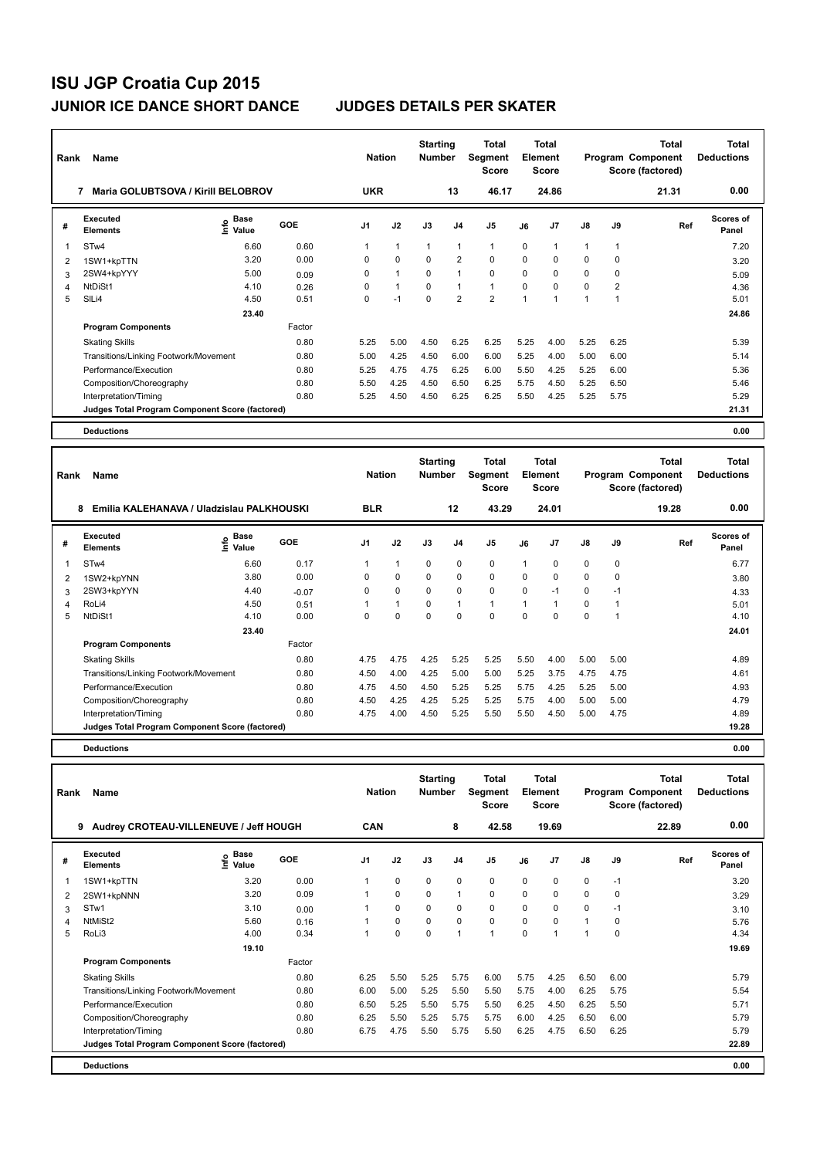| Rank           | Name                                            |                              |        | <b>Nation</b>  |              | <b>Starting</b><br><b>Number</b> |                | <b>Total</b><br>Segment<br><b>Score</b> |              | <b>Total</b><br>Element<br><b>Score</b> |               |                | <b>Total</b><br>Program Component<br>Score (factored) | <b>Total</b><br><b>Deductions</b> |
|----------------|-------------------------------------------------|------------------------------|--------|----------------|--------------|----------------------------------|----------------|-----------------------------------------|--------------|-----------------------------------------|---------------|----------------|-------------------------------------------------------|-----------------------------------|
|                | Maria GOLUBTSOVA / Kirill BELOBROV<br>7         |                              |        | <b>UKR</b>     |              |                                  | 13             | 46.17                                   |              | 24.86                                   |               |                | 21.31                                                 | 0.00                              |
| #              | Executed<br><b>Elements</b>                     | <b>Base</b><br>lnfo<br>Value | GOE    | J <sub>1</sub> | J2           | J3                               | J <sub>4</sub> | J <sub>5</sub>                          | J6           | J <sub>7</sub>                          | $\mathsf{J}8$ | J9             | Ref                                                   | Scores of<br>Panel                |
|                | ST <sub>w</sub> 4                               | 6.60                         | 0.60   |                | 1            | 1                                | 1              | $\mathbf{1}$                            | $\Omega$     | 1                                       | 1             | 1              |                                                       | 7.20                              |
| 2              | 1SW1+kpTTN                                      | 3.20                         | 0.00   | 0              | $\mathbf 0$  | 0                                | $\overline{2}$ | $\mathbf 0$                             | $\Omega$     | $\Omega$                                | $\Omega$      | $\mathbf 0$    |                                                       | 3.20                              |
| 3              | 2SW4+kpYYY                                      | 5.00                         | 0.09   | 0              | $\mathbf{1}$ | $\mathbf 0$                      | $\mathbf{1}$   | $\mathbf 0$                             | 0            | 0                                       | 0             | $\mathbf 0$    |                                                       | 5.09                              |
| $\overline{4}$ | NtDiSt1                                         | 4.10                         | 0.26   | 0              | $\mathbf{1}$ | 0                                | $\mathbf{1}$   | $\mathbf{1}$                            | 0            | $\Omega$                                | $\Omega$      | $\overline{2}$ |                                                       | 4.36                              |
| 5              | SILi4                                           | 4.50                         | 0.51   | 0              | $-1$         | $\mathbf 0$                      | $\overline{2}$ | $\overline{2}$                          | $\mathbf{1}$ | $\overline{1}$                          | $\mathbf{1}$  | 1              |                                                       | 5.01                              |
|                |                                                 | 23.40                        |        |                |              |                                  |                |                                         |              |                                         |               |                |                                                       | 24.86                             |
|                | <b>Program Components</b>                       |                              | Factor |                |              |                                  |                |                                         |              |                                         |               |                |                                                       |                                   |
|                | <b>Skating Skills</b>                           |                              | 0.80   | 5.25           | 5.00         | 4.50                             | 6.25           | 6.25                                    | 5.25         | 4.00                                    | 5.25          | 6.25           |                                                       | 5.39                              |
|                | Transitions/Linking Footwork/Movement           |                              | 0.80   | 5.00           | 4.25         | 4.50                             | 6.00           | 6.00                                    | 5.25         | 4.00                                    | 5.00          | 6.00           |                                                       | 5.14                              |
|                | Performance/Execution                           |                              | 0.80   | 5.25           | 4.75         | 4.75                             | 6.25           | 6.00                                    | 5.50         | 4.25                                    | 5.25          | 6.00           |                                                       | 5.36                              |
|                | Composition/Choreography                        |                              | 0.80   | 5.50           | 4.25         | 4.50                             | 6.50           | 6.25                                    | 5.75         | 4.50                                    | 5.25          | 6.50           |                                                       | 5.46                              |
|                | Interpretation/Timing                           |                              | 0.80   | 5.25           | 4.50         | 4.50                             | 6.25           | 6.25                                    | 5.50         | 4.25                                    | 5.25          | 5.75           |                                                       | 5.29                              |
|                | Judges Total Program Component Score (factored) |                              |        |                |              |                                  |                |                                         |              |                                         |               |                |                                                       | 21.31                             |
|                | <b>Deductions</b>                               |                              |        |                |              |                                  |                |                                         |              |                                         |               |                |                                                       | 0.00                              |

| Rank | Name                                            |                                           |         | <b>Nation</b>  |              | <b>Starting</b><br><b>Number</b> |                | Total<br>Segment<br><b>Score</b> |                | Total<br>Element<br><b>Score</b> |             |      | <b>Total</b><br>Program Component<br>Score (factored) | <b>Total</b><br><b>Deductions</b> |
|------|-------------------------------------------------|-------------------------------------------|---------|----------------|--------------|----------------------------------|----------------|----------------------------------|----------------|----------------------------------|-------------|------|-------------------------------------------------------|-----------------------------------|
|      | 8<br>Emilia KALEHANAVA / Uladzislau PALKHOUSKI  |                                           |         | <b>BLR</b>     |              |                                  | 12             | 43.29                            |                | 24.01                            |             |      | 19.28                                                 | 0.00                              |
| #    | Executed<br><b>Elements</b>                     | $\frac{e}{E}$ Base<br>$\frac{e}{E}$ Value | GOE     | J <sub>1</sub> | J2           | J3                               | J <sub>4</sub> | J5                               | J6             | J <sub>7</sub>                   | J8          | J9   | Ref                                                   | <b>Scores of</b><br>Panel         |
| 1    | STw4                                            | 6.60                                      | 0.17    |                | $\mathbf{1}$ | 0                                | $\mathbf 0$    | $\mathbf 0$                      | $\mathbf{1}$   | 0                                | $\mathbf 0$ | 0    |                                                       | 6.77                              |
| 2    | 1SW2+kpYNN                                      | 3.80                                      | 0.00    | 0              | $\mathbf 0$  | 0                                | $\mathbf 0$    | $\mathbf 0$                      | 0              | 0                                | $\mathbf 0$ | 0    |                                                       | 3.80                              |
| 3    | 2SW3+kpYYN                                      | 4.40                                      | $-0.07$ | 0              | $\mathbf 0$  | 0                                | 0              | $\mathbf 0$                      | 0              | $-1$                             | 0           | $-1$ |                                                       | 4.33                              |
| 4    | RoLi4                                           | 4.50                                      | 0.51    |                | $\mathbf{1}$ | $\Omega$                         | $\mathbf{1}$   | $\mathbf{1}$                     | $\overline{1}$ |                                  | 0           |      |                                                       | 5.01                              |
| 5    | NtDiSt1                                         | 4.10                                      | 0.00    | 0              | $\mathbf 0$  | 0                                | $\Omega$       | $\mathbf 0$                      | $\Omega$       | $\Omega$                         | $\Omega$    |      |                                                       | 4.10                              |
|      |                                                 | 23.40                                     |         |                |              |                                  |                |                                  |                |                                  |             |      |                                                       | 24.01                             |
|      | <b>Program Components</b>                       |                                           | Factor  |                |              |                                  |                |                                  |                |                                  |             |      |                                                       |                                   |
|      | <b>Skating Skills</b>                           |                                           | 0.80    | 4.75           | 4.75         | 4.25                             | 5.25           | 5.25                             | 5.50           | 4.00                             | 5.00        | 5.00 |                                                       | 4.89                              |
|      | Transitions/Linking Footwork/Movement           |                                           | 0.80    | 4.50           | 4.00         | 4.25                             | 5.00           | 5.00                             | 5.25           | 3.75                             | 4.75        | 4.75 |                                                       | 4.61                              |
|      | Performance/Execution                           |                                           | 0.80    | 4.75           | 4.50         | 4.50                             | 5.25           | 5.25                             | 5.75           | 4.25                             | 5.25        | 5.00 |                                                       | 4.93                              |
|      | Composition/Choreography                        |                                           | 0.80    | 4.50           | 4.25         | 4.25                             | 5.25           | 5.25                             | 5.75           | 4.00                             | 5.00        | 5.00 |                                                       | 4.79                              |
|      | Interpretation/Timing                           |                                           | 0.80    | 4.75           | 4.00         | 4.50                             | 5.25           | 5.50                             | 5.50           | 4.50                             | 5.00        | 4.75 |                                                       | 4.89                              |
|      | Judges Total Program Component Score (factored) |                                           |         |                |              |                                  |                |                                  |                |                                  |             |      |                                                       | 19.28                             |
|      | <b>Deductions</b>                               |                                           |         |                |              |                                  |                |                                  |                |                                  |             |      |                                                       | 0.00                              |

| Rank | <b>Name</b>                                     |                              |        | <b>Nation</b>  |             | <b>Starting</b><br><b>Number</b> |                | Total<br>Segment<br><b>Score</b> |          | <b>Total</b><br><b>Element</b><br><b>Score</b> |              |          | Total<br>Program Component<br>Score (factored) | <b>Total</b><br><b>Deductions</b> |
|------|-------------------------------------------------|------------------------------|--------|----------------|-------------|----------------------------------|----------------|----------------------------------|----------|------------------------------------------------|--------------|----------|------------------------------------------------|-----------------------------------|
|      | Audrey CROTEAU-VILLENEUVE / Jeff HOUGH<br>9     |                              |        | <b>CAN</b>     |             |                                  | 8              | 42.58                            |          | 19.69                                          |              |          | 22.89                                          | 0.00                              |
| #    | <b>Executed</b><br><b>Elements</b>              | <b>Base</b><br>lnfo<br>Value | GOE    | J <sub>1</sub> | J2          | J3                               | J <sub>4</sub> | J <sub>5</sub>                   | J6       | J <sub>7</sub>                                 | J8           | J9       | Ref                                            | Scores of<br>Panel                |
| 1    | 1SW1+kpTTN                                      | 3.20                         | 0.00   |                | $\mathbf 0$ | $\Omega$                         | $\mathbf 0$    | $\mathbf 0$                      | $\Omega$ | 0                                              | $\mathbf 0$  | $-1$     |                                                | 3.20                              |
| 2    | 2SW1+kpNNN                                      | 3.20                         | 0.09   |                | $\mathbf 0$ | $\Omega$                         | $\overline{1}$ | $\mathbf 0$                      | 0        | 0                                              | $\mathbf 0$  | 0        |                                                | 3.29                              |
| 3    | STw1                                            | 3.10                         | 0.00   |                | 0           | $\Omega$                         | 0              | 0                                | 0        | 0                                              | 0            | $-1$     |                                                | 3.10                              |
| 4    | NtMiSt2                                         | 5.60                         | 0.16   |                | $\Omega$    | $\Omega$                         | 0              | $\mathbf 0$                      | $\Omega$ | $\Omega$                                       | $\mathbf{1}$ | 0        |                                                | 5.76                              |
| 5    | RoLi3                                           | 4.00                         | 0.34   |                | $\Omega$    | $\Omega$                         | 1              | 1                                | $\Omega$ |                                                |              | $\Omega$ |                                                | 4.34                              |
|      |                                                 | 19.10                        |        |                |             |                                  |                |                                  |          |                                                |              |          |                                                | 19.69                             |
|      | <b>Program Components</b>                       |                              | Factor |                |             |                                  |                |                                  |          |                                                |              |          |                                                |                                   |
|      | <b>Skating Skills</b>                           |                              | 0.80   | 6.25           | 5.50        | 5.25                             | 5.75           | 6.00                             | 5.75     | 4.25                                           | 6.50         | 6.00     |                                                | 5.79                              |
|      | Transitions/Linking Footwork/Movement           |                              | 0.80   | 6.00           | 5.00        | 5.25                             | 5.50           | 5.50                             | 5.75     | 4.00                                           | 6.25         | 5.75     |                                                | 5.54                              |
|      | Performance/Execution                           |                              | 0.80   | 6.50           | 5.25        | 5.50                             | 5.75           | 5.50                             | 6.25     | 4.50                                           | 6.25         | 5.50     |                                                | 5.71                              |
|      | Composition/Choreography                        |                              | 0.80   | 6.25           | 5.50        | 5.25                             | 5.75           | 5.75                             | 6.00     | 4.25                                           | 6.50         | 6.00     |                                                | 5.79                              |
|      | Interpretation/Timing                           |                              | 0.80   | 6.75           | 4.75        | 5.50                             | 5.75           | 5.50                             | 6.25     | 4.75                                           | 6.50         | 6.25     |                                                | 5.79                              |
|      | Judges Total Program Component Score (factored) |                              |        |                |             |                                  |                |                                  |          |                                                |              |          |                                                | 22.89                             |
|      | <b>Deductions</b>                               |                              |        |                |             |                                  |                |                                  |          |                                                |              |          |                                                | 0.00                              |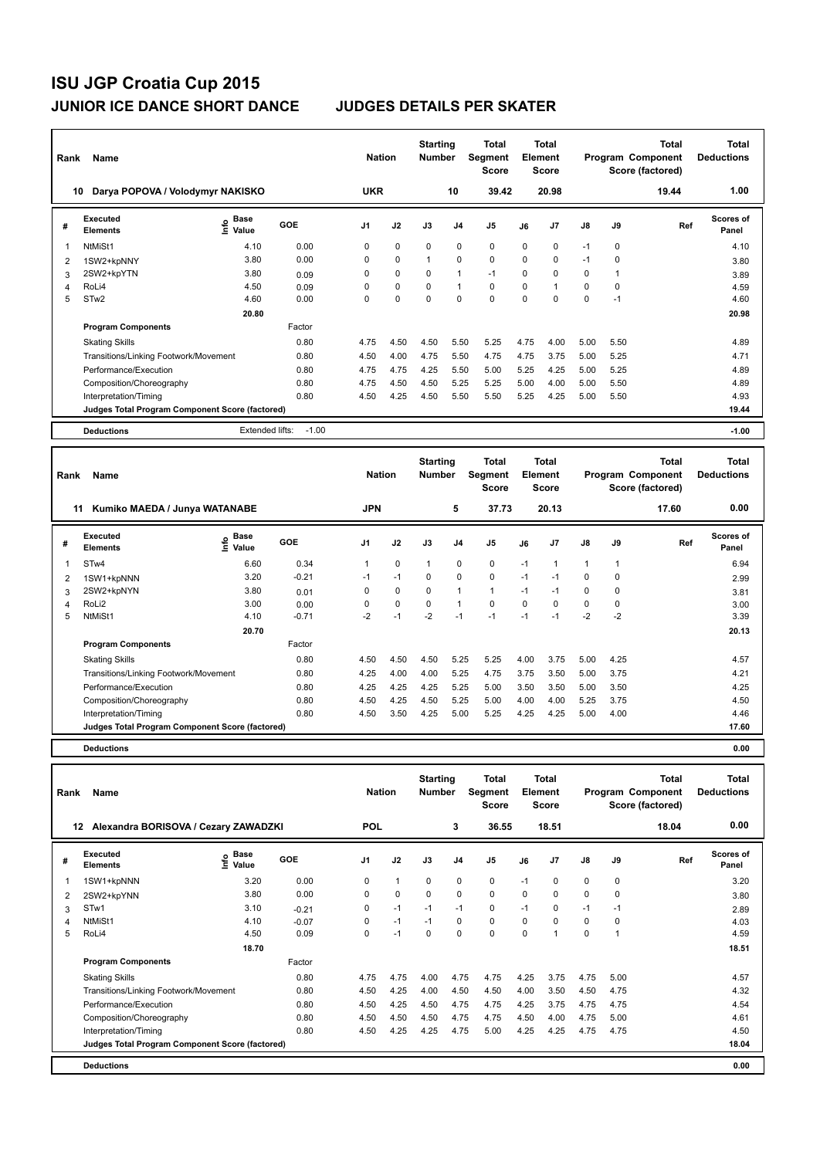| Rank | Name                                            |                                    |         | <b>Nation</b>  |             | <b>Starting</b><br><b>Number</b> |                | Total<br>Segment<br><b>Score</b> |          | <b>Total</b><br>Element<br><b>Score</b> |               |          | <b>Total</b><br>Program Component<br>Score (factored) | <b>Total</b><br><b>Deductions</b> |
|------|-------------------------------------------------|------------------------------------|---------|----------------|-------------|----------------------------------|----------------|----------------------------------|----------|-----------------------------------------|---------------|----------|-------------------------------------------------------|-----------------------------------|
| 10   | Darya POPOVA / Volodymyr NAKISKO                |                                    |         | <b>UKR</b>     |             |                                  | 10             | 39.42                            |          | 20.98                                   |               |          | 19.44                                                 | 1.00                              |
| #    | Executed<br><b>Elements</b>                     | <b>Base</b><br>$\frac{e}{E}$ Value | GOE     | J <sub>1</sub> | J2          | J3                               | J <sub>4</sub> | J <sub>5</sub>                   | J6       | J <sub>7</sub>                          | $\mathsf{J}8$ | J9       | Ref                                                   | Scores of<br>Panel                |
| 1    | NtMiSt1                                         | 4.10                               | 0.00    | 0              | $\mathbf 0$ | $\Omega$                         | $\mathbf 0$    | $\mathbf 0$                      | $\Omega$ | 0                                       | $-1$          | 0        |                                                       | 4.10                              |
| 2    | 1SW2+kpNNY                                      | 3.80                               | 0.00    | 0              | 0           | 1                                | $\mathbf 0$    | 0                                | 0        | 0                                       | $-1$          | 0        |                                                       | 3.80                              |
| 3    | 2SW2+kpYTN                                      | 3.80                               | 0.09    | 0              | $\Omega$    | 0                                | 1              | $-1$                             | $\Omega$ | $\Omega$                                | $\Omega$      |          |                                                       | 3.89                              |
| 4    | RoLi4                                           | 4.50                               | 0.09    | 0              | $\mathbf 0$ | 0                                | 1              | $\mathbf 0$                      | $\Omega$ |                                         | 0             | $\Omega$ |                                                       | 4.59                              |
| 5    | STw <sub>2</sub>                                | 4.60                               | 0.00    | 0              | $\Omega$    | 0                                | $\mathbf 0$    | $\mathbf 0$                      | $\Omega$ | $\Omega$                                | $\Omega$      | $-1$     |                                                       | 4.60                              |
|      |                                                 | 20.80                              |         |                |             |                                  |                |                                  |          |                                         |               |          |                                                       | 20.98                             |
|      | <b>Program Components</b>                       |                                    | Factor  |                |             |                                  |                |                                  |          |                                         |               |          |                                                       |                                   |
|      | <b>Skating Skills</b>                           |                                    | 0.80    | 4.75           | 4.50        | 4.50                             | 5.50           | 5.25                             | 4.75     | 4.00                                    | 5.00          | 5.50     |                                                       | 4.89                              |
|      | Transitions/Linking Footwork/Movement           |                                    | 0.80    | 4.50           | 4.00        | 4.75                             | 5.50           | 4.75                             | 4.75     | 3.75                                    | 5.00          | 5.25     |                                                       | 4.71                              |
|      | Performance/Execution                           |                                    | 0.80    | 4.75           | 4.75        | 4.25                             | 5.50           | 5.00                             | 5.25     | 4.25                                    | 5.00          | 5.25     |                                                       | 4.89                              |
|      | Composition/Choreography                        |                                    | 0.80    | 4.75           | 4.50        | 4.50                             | 5.25           | 5.25                             | 5.00     | 4.00                                    | 5.00          | 5.50     |                                                       | 4.89                              |
|      | Interpretation/Timing                           |                                    | 0.80    | 4.50           | 4.25        | 4.50                             | 5.50           | 5.50                             | 5.25     | 4.25                                    | 5.00          | 5.50     |                                                       | 4.93                              |
|      | Judges Total Program Component Score (factored) |                                    |         |                |             |                                  |                |                                  |          |                                         |               |          |                                                       | 19.44                             |
|      | <b>Deductions</b>                               | Extended lifts:                    | $-1.00$ |                |             |                                  |                |                                  |          |                                         |               |          |                                                       | $-1.00$                           |

| Rank | Name                                            |                                           |         | <b>Nation</b>  |             | <b>Starting</b><br><b>Number</b> |                | Total<br>Segment<br>Score |          | Total<br>Element<br>Score |               |             | <b>Total</b><br>Program Component<br>Score (factored) | Total<br><b>Deductions</b> |
|------|-------------------------------------------------|-------------------------------------------|---------|----------------|-------------|----------------------------------|----------------|---------------------------|----------|---------------------------|---------------|-------------|-------------------------------------------------------|----------------------------|
|      | Kumiko MAEDA / Junya WATANABE<br>11             |                                           |         | <b>JPN</b>     |             |                                  | 5              | 37.73                     |          | 20.13                     |               |             | 17.60                                                 | 0.00                       |
| #    | Executed<br><b>Elements</b>                     | $\frac{e}{E}$ Base<br>$\frac{e}{E}$ Value | GOE     | J <sub>1</sub> | J2          | J3                               | J <sub>4</sub> | J <sub>5</sub>            | J6       | J7                        | $\mathsf{J}8$ | J9          | Ref                                                   | <b>Scores of</b><br>Panel  |
| 1    | STw4                                            | 6.60                                      | 0.34    | 1              | $\mathbf 0$ | $\mathbf{1}$                     | $\mathbf 0$    | $\mathbf 0$               | $-1$     |                           | $\mathbf{1}$  |             |                                                       | 6.94                       |
| 2    | 1SW1+kpNNN                                      | 3.20                                      | $-0.21$ | $-1$           | $-1$        | 0                                | 0              | $\pmb{0}$                 | $-1$     | $-1$                      | 0             | 0           |                                                       | 2.99                       |
| 3    | 2SW2+kpNYN                                      | 3.80                                      | 0.01    | $\Omega$       | $\mathbf 0$ | $\Omega$                         | $\mathbf{1}$   | $\mathbf{1}$              | $-1$     | $-1$                      | 0             | $\mathbf 0$ |                                                       | 3.81                       |
| 4    | RoLi2                                           | 3.00                                      | 0.00    | 0              | $\mathbf 0$ | $\Omega$                         | $\mathbf{1}$   | $\mathbf 0$               | $\Omega$ | $\Omega$                  | 0             | 0           |                                                       | 3.00                       |
| 5    | NtMiSt1                                         | 4.10                                      | $-0.71$ | $-2$           | $-1$        | $-2$                             | $-1$           | $-1$                      | $-1$     | $-1$                      | $-2$          | $-2$        |                                                       | 3.39                       |
|      |                                                 | 20.70                                     |         |                |             |                                  |                |                           |          |                           |               |             |                                                       | 20.13                      |
|      | <b>Program Components</b>                       |                                           | Factor  |                |             |                                  |                |                           |          |                           |               |             |                                                       |                            |
|      | <b>Skating Skills</b>                           |                                           | 0.80    | 4.50           | 4.50        | 4.50                             | 5.25           | 5.25                      | 4.00     | 3.75                      | 5.00          | 4.25        |                                                       | 4.57                       |
|      | Transitions/Linking Footwork/Movement           |                                           | 0.80    | 4.25           | 4.00        | 4.00                             | 5.25           | 4.75                      | 3.75     | 3.50                      | 5.00          | 3.75        |                                                       | 4.21                       |
|      | Performance/Execution                           |                                           | 0.80    | 4.25           | 4.25        | 4.25                             | 5.25           | 5.00                      | 3.50     | 3.50                      | 5.00          | 3.50        |                                                       | 4.25                       |
|      | Composition/Choreography                        |                                           | 0.80    | 4.50           | 4.25        | 4.50                             | 5.25           | 5.00                      | 4.00     | 4.00                      | 5.25          | 3.75        |                                                       | 4.50                       |
|      | Interpretation/Timing                           |                                           | 0.80    | 4.50           | 3.50        | 4.25                             | 5.00           | 5.25                      | 4.25     | 4.25                      | 5.00          | 4.00        |                                                       | 4.46                       |
|      | Judges Total Program Component Score (factored) |                                           |         |                |             |                                  |                |                           |          |                           |               |             |                                                       | 17.60                      |
|      | <b>Deductions</b>                               |                                           |         |                |             |                                  |                |                           |          |                           |               |             |                                                       | 0.00                       |

| Rank | <b>Name</b>                                     |                       |            | <b>Nation</b> |              | <b>Starting</b><br><b>Number</b> |                | Total<br>Segment<br><b>Score</b> |          | <b>Total</b><br>Element<br><b>Score</b> |               |          | <b>Total</b><br>Program Component<br>Score (factored) | <b>Total</b><br><b>Deductions</b> |
|------|-------------------------------------------------|-----------------------|------------|---------------|--------------|----------------------------------|----------------|----------------------------------|----------|-----------------------------------------|---------------|----------|-------------------------------------------------------|-----------------------------------|
| 12   | Alexandra BORISOVA / Cezary ZAWADZKI            |                       |            | <b>POL</b>    |              |                                  | 3              | 36.55                            |          | 18.51                                   |               |          | 18.04                                                 | 0.00                              |
| #    | Executed<br><b>Elements</b>                     | Base<br>١nf٥<br>Value | <b>GOE</b> | J1            | J2           | J3                               | J <sub>4</sub> | J5                               | J6       | J7                                      | $\mathsf{J}8$ | J9       | Ref                                                   | Scores of<br>Panel                |
| 1    | 1SW1+kpNNN                                      | 3.20                  | 0.00       | $\Omega$      | $\mathbf{1}$ | 0                                | $\mathbf 0$    | $\mathbf 0$                      | $-1$     | $\Omega$                                | 0             | 0        |                                                       | 3.20                              |
| 2    | 2SW2+kpYNN                                      | 3.80                  | 0.00       | $\Omega$      | $\mathbf 0$  | 0                                | $\mathbf 0$    | $\mathbf 0$                      | $\Omega$ | $\Omega$                                | $\mathbf 0$   | 0        |                                                       | 3.80                              |
| 3    | STw1                                            | 3.10                  | $-0.21$    | $\Omega$      | $-1$         | $-1$                             | $-1$           | 0                                | $-1$     | 0                                       | $-1$          | $-1$     |                                                       | 2.89                              |
| 4    | NtMiSt1                                         | 4.10                  | $-0.07$    | 0             | $-1$         | $-1$                             | 0              | $\mathbf 0$                      | $\Omega$ | $\Omega$                                | 0             | $\Omega$ |                                                       | 4.03                              |
| 5    | RoLi4                                           | 4.50                  | 0.09       | $\Omega$      | $-1$         | $\Omega$                         | 0              | $\Omega$                         | $\Omega$ | 1                                       | $\Omega$      |          |                                                       | 4.59                              |
|      |                                                 | 18.70                 |            |               |              |                                  |                |                                  |          |                                         |               |          |                                                       | 18.51                             |
|      | <b>Program Components</b>                       |                       | Factor     |               |              |                                  |                |                                  |          |                                         |               |          |                                                       |                                   |
|      | <b>Skating Skills</b>                           |                       | 0.80       | 4.75          | 4.75         | 4.00                             | 4.75           | 4.75                             | 4.25     | 3.75                                    | 4.75          | 5.00     |                                                       | 4.57                              |
|      | Transitions/Linking Footwork/Movement           |                       | 0.80       | 4.50          | 4.25         | 4.00                             | 4.50           | 4.50                             | 4.00     | 3.50                                    | 4.50          | 4.75     |                                                       | 4.32                              |
|      | Performance/Execution                           |                       | 0.80       | 4.50          | 4.25         | 4.50                             | 4.75           | 4.75                             | 4.25     | 3.75                                    | 4.75          | 4.75     |                                                       | 4.54                              |
|      | Composition/Choreography                        |                       | 0.80       | 4.50          | 4.50         | 4.50                             | 4.75           | 4.75                             | 4.50     | 4.00                                    | 4.75          | 5.00     |                                                       | 4.61                              |
|      | Interpretation/Timing                           |                       | 0.80       | 4.50          | 4.25         | 4.25                             | 4.75           | 5.00                             | 4.25     | 4.25                                    | 4.75          | 4.75     |                                                       | 4.50                              |
|      | Judges Total Program Component Score (factored) |                       |            |               |              |                                  |                |                                  |          |                                         |               |          |                                                       | 18.04                             |
|      | <b>Deductions</b>                               |                       |            |               |              |                                  |                |                                  |          |                                         |               |          |                                                       | 0.00                              |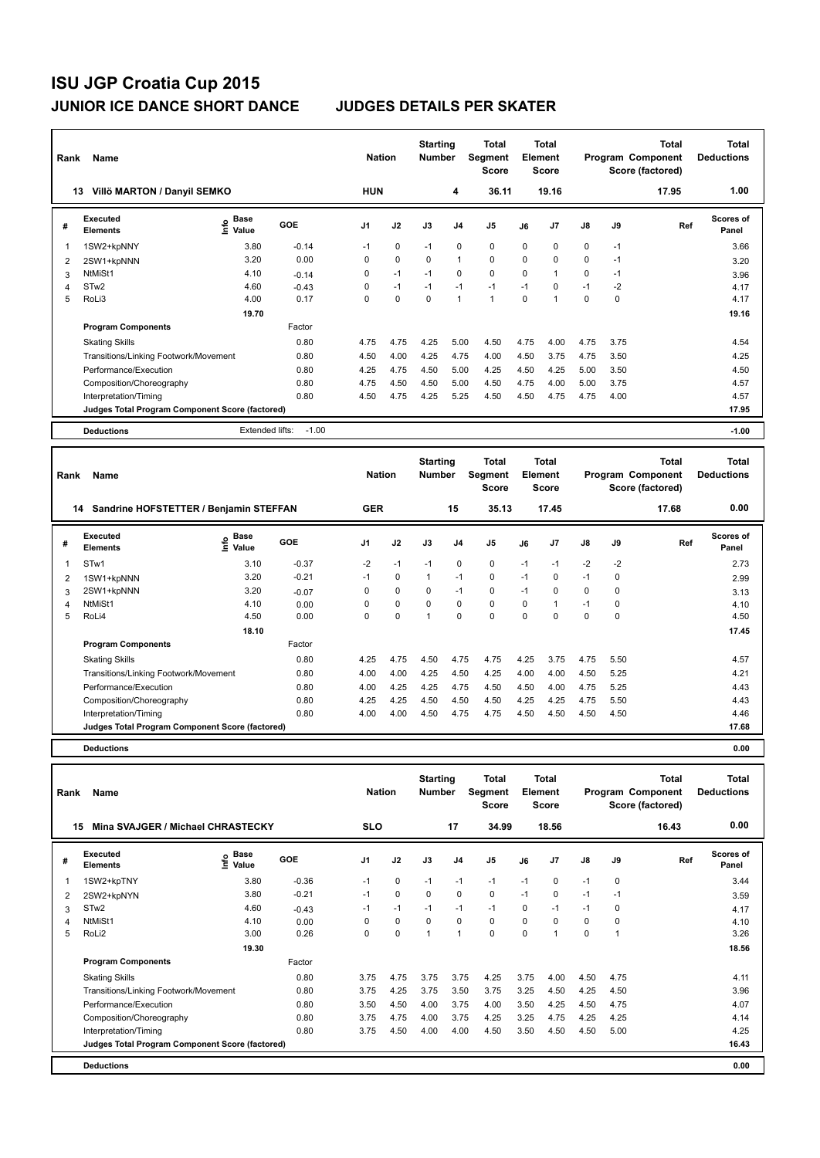| Rank           | Name                                            |                                    |         | <b>Nation</b>  |             | <b>Starting</b><br><b>Number</b> |                | Total<br>Segment<br><b>Score</b> |          | <b>Total</b><br>Element<br><b>Score</b> |      |      | Total<br>Program Component<br>Score (factored) | <b>Total</b><br><b>Deductions</b> |
|----------------|-------------------------------------------------|------------------------------------|---------|----------------|-------------|----------------------------------|----------------|----------------------------------|----------|-----------------------------------------|------|------|------------------------------------------------|-----------------------------------|
| 13             | Villö MARTON / Danyil SEMKO                     |                                    |         | <b>HUN</b>     |             |                                  | 4              | 36.11                            |          | 19.16                                   |      |      | 17.95                                          | 1.00                              |
| #              | Executed<br><b>Elements</b>                     | <b>Base</b><br>$\frac{6}{5}$ Value | GOE     | J <sub>1</sub> | J2          | J3                               | J <sub>4</sub> | J <sub>5</sub>                   | J6       | J7                                      | J8   | J9   | Ref                                            | <b>Scores of</b><br>Panel         |
| -1             | 1SW2+kpNNY                                      | 3.80                               | $-0.14$ | $-1$           | $\mathbf 0$ | $-1$                             | $\mathbf 0$    | $\mathbf 0$                      | $\Omega$ | 0                                       | 0    | $-1$ |                                                | 3.66                              |
| 2              | 2SW1+kpNNN                                      | 3.20                               | 0.00    | 0              | $\mathbf 0$ | 0                                | $\mathbf{1}$   | $\mathbf 0$                      | $\Omega$ | 0                                       | 0    | $-1$ |                                                | 3.20                              |
| 3              | NtMiSt1                                         | 4.10                               | $-0.14$ | 0              | $-1$        | $-1$                             | $\mathbf 0$    | $\mathbf 0$                      | 0        | 1                                       | 0    | $-1$ |                                                | 3.96                              |
| $\overline{4}$ | STw <sub>2</sub>                                | 4.60                               | $-0.43$ | 0              | $-1$        | $-1$                             | $-1$           | $-1$                             | $-1$     | 0                                       | $-1$ | $-2$ |                                                | 4.17                              |
| 5              | RoLi3                                           | 4.00                               | 0.17    | $\Omega$       | $\mathbf 0$ | 0                                | $\mathbf{1}$   | $\mathbf{1}$                     | $\Omega$ | 1                                       | 0    | 0    |                                                | 4.17                              |
|                |                                                 | 19.70                              |         |                |             |                                  |                |                                  |          |                                         |      |      |                                                | 19.16                             |
|                | <b>Program Components</b>                       |                                    | Factor  |                |             |                                  |                |                                  |          |                                         |      |      |                                                |                                   |
|                | <b>Skating Skills</b>                           |                                    | 0.80    | 4.75           | 4.75        | 4.25                             | 5.00           | 4.50                             | 4.75     | 4.00                                    | 4.75 | 3.75 |                                                | 4.54                              |
|                | Transitions/Linking Footwork/Movement           |                                    | 0.80    | 4.50           | 4.00        | 4.25                             | 4.75           | 4.00                             | 4.50     | 3.75                                    | 4.75 | 3.50 |                                                | 4.25                              |
|                | Performance/Execution                           |                                    | 0.80    | 4.25           | 4.75        | 4.50                             | 5.00           | 4.25                             | 4.50     | 4.25                                    | 5.00 | 3.50 |                                                | 4.50                              |
|                | Composition/Choreography                        |                                    | 0.80    | 4.75           | 4.50        | 4.50                             | 5.00           | 4.50                             | 4.75     | 4.00                                    | 5.00 | 3.75 |                                                | 4.57                              |
|                | Interpretation/Timing                           |                                    | 0.80    | 4.50           | 4.75        | 4.25                             | 5.25           | 4.50                             | 4.50     | 4.75                                    | 4.75 | 4.00 |                                                | 4.57                              |
|                | Judges Total Program Component Score (factored) |                                    |         |                |             |                                  |                |                                  |          |                                         |      |      |                                                | 17.95                             |
|                | <b>Deductions</b>                               | Extended lifts:                    | $-1.00$ |                |             |                                  |                |                                  |          |                                         |      |      |                                                | $-1.00$                           |
|                |                                                 |                                    |         |                |             |                                  |                |                                  |          |                                         |      |      |                                                |                                   |

| Rank | Name                                            |                              |            | <b>Nation</b>  |             | <b>Starting</b><br><b>Number</b> |                | <b>Total</b><br><b>Segment</b><br><b>Score</b> |          | <b>Total</b><br>Element<br><b>Score</b> |               |      | <b>Total</b><br>Program Component<br>Score (factored) | <b>Total</b><br><b>Deductions</b> |  |
|------|-------------------------------------------------|------------------------------|------------|----------------|-------------|----------------------------------|----------------|------------------------------------------------|----------|-----------------------------------------|---------------|------|-------------------------------------------------------|-----------------------------------|--|
|      | Sandrine HOFSTETTER / Benjamin STEFFAN<br>14    |                              |            | <b>GER</b>     |             |                                  | 15             | 35.13                                          |          | 17.45                                   |               |      | 17.68                                                 | 0.00                              |  |
| #    | Executed<br><b>Elements</b>                     | <b>Base</b><br>١rfo<br>Value | <b>GOE</b> | J <sub>1</sub> | J2          | J3                               | J <sub>4</sub> | J <sub>5</sub>                                 | J6       | J <sub>7</sub>                          | $\mathsf{J}8$ | J9   | Ref                                                   | Scores of<br>Panel                |  |
|      | STw1                                            | 3.10                         | $-0.37$    | $-2$           | $-1$        | $-1$                             | 0              | $\mathbf 0$                                    | $-1$     | $-1$                                    | $-2$          | $-2$ |                                                       | 2.73                              |  |
| 2    | 1SW1+kpNNN                                      | 3.20                         | $-0.21$    | $-1$           | $\mathbf 0$ | $\overline{1}$                   | $-1$           | $\mathbf 0$                                    | $-1$     | 0                                       | $-1$          | 0    |                                                       | 2.99                              |  |
| 3    | 2SW1+kpNNN                                      | 3.20                         | $-0.07$    | 0              | $\mathbf 0$ | 0                                | $-1$           | $\mathbf 0$                                    | $-1$     | 0                                       | 0             | 0    |                                                       | 3.13                              |  |
| 4    | NtMiSt1                                         | 4.10                         | 0.00       | 0              | $\mathbf 0$ | 0                                | 0              | $\pmb{0}$                                      | 0        |                                         | $-1$          | 0    |                                                       | 4.10                              |  |
| 5    | RoLi4                                           | 4.50                         | 0.00       | 0              | $\mathbf 0$ |                                  | $\Omega$       | $\mathbf 0$                                    | $\Omega$ | 0                                       | $\mathbf 0$   | 0    |                                                       | 4.50                              |  |
|      |                                                 | 18.10                        |            |                |             |                                  |                |                                                |          |                                         |               |      |                                                       | 17.45                             |  |
|      | <b>Program Components</b>                       |                              | Factor     |                |             |                                  |                |                                                |          |                                         |               |      |                                                       |                                   |  |
|      | <b>Skating Skills</b>                           |                              | 0.80       | 4.25           | 4.75        | 4.50                             | 4.75           | 4.75                                           | 4.25     | 3.75                                    | 4.75          | 5.50 |                                                       | 4.57                              |  |
|      | Transitions/Linking Footwork/Movement           |                              | 0.80       | 4.00           | 4.00        | 4.25                             | 4.50           | 4.25                                           | 4.00     | 4.00                                    | 4.50          | 5.25 |                                                       | 4.21                              |  |
|      | Performance/Execution                           |                              | 0.80       | 4.00           | 4.25        | 4.25                             | 4.75           | 4.50                                           | 4.50     | 4.00                                    | 4.75          | 5.25 |                                                       | 4.43                              |  |
|      | Composition/Choreography                        |                              | 0.80       | 4.25           | 4.25        | 4.50                             | 4.50           | 4.50                                           | 4.25     | 4.25                                    | 4.75          | 5.50 |                                                       | 4.43                              |  |
|      | Interpretation/Timing                           |                              | 0.80       | 4.00           | 4.00        | 4.50                             | 4.75           | 4.75                                           | 4.50     | 4.50                                    | 4.50          | 4.50 |                                                       | 4.46                              |  |
|      | Judges Total Program Component Score (factored) |                              |            |                |             |                                  |                |                                                |          |                                         |               |      |                                                       | 17.68                             |  |
|      | <b>Deductions</b>                               |                              |            |                |             |                                  |                |                                                |          |                                         |               |      |                                                       | 0.00                              |  |

| Rank | <b>Name</b>                                     |                              |         |            | <b>Nation</b> |          | <b>Starting</b><br><b>Number</b> | Total<br>Segment<br><b>Score</b> | Total<br>Element<br><b>Score</b> |                | <b>Total</b><br>Program Component<br>Score (factored) |          |       | <b>Total</b><br><b>Deductions</b> |  |
|------|-------------------------------------------------|------------------------------|---------|------------|---------------|----------|----------------------------------|----------------------------------|----------------------------------|----------------|-------------------------------------------------------|----------|-------|-----------------------------------|--|
| 15   | Mina SVAJGER / Michael CHRASTECKY               |                              |         | <b>SLO</b> |               |          | 17                               | 34.99                            |                                  | 18.56          |                                                       |          | 16.43 | 0.00                              |  |
| #    | Executed<br><b>Elements</b>                     | <b>Base</b><br>١nf٥<br>Value | GOE     | J1         | J2            | J3       | J <sub>4</sub>                   | J <sub>5</sub>                   | J6                               | J <sub>7</sub> | $\mathsf{J}8$                                         | J9       | Ref   | Scores of<br>Panel                |  |
|      | 1SW2+kpTNY                                      | 3.80                         | $-0.36$ | $-1$       | $\mathbf 0$   | $-1$     | $-1$                             | $-1$                             | $-1$                             | 0              | $-1$                                                  | 0        |       | 3.44                              |  |
| 2    | 2SW2+kpNYN                                      | 3.80                         | $-0.21$ | $-1$       | 0             | 0        | 0                                | $\mathbf 0$                      | $-1$                             | 0              | $-1$                                                  | $-1$     |       | 3.59                              |  |
| 3    | STw <sub>2</sub>                                | 4.60                         | $-0.43$ | $-1$       | $-1$          | $-1$     | $-1$                             | $-1$                             | $\Omega$                         | $-1$           | $-1$                                                  | 0        |       | 4.17                              |  |
| 4    | NtMiSt1                                         | 4.10                         | 0.00    | $\Omega$   | $\Omega$      | $\Omega$ | $\Omega$                         | $\Omega$                         | $\Omega$                         | $\Omega$       | $\Omega$                                              | $\Omega$ |       | 4.10                              |  |
| 5    | RoLi2                                           | 3.00                         | 0.26    | $\Omega$   | $\mathbf 0$   |          | $\overline{1}$                   | $\Omega$                         | $\Omega$                         |                | $\mathbf 0$                                           |          |       | 3.26                              |  |
|      |                                                 | 19.30                        |         |            |               |          |                                  |                                  |                                  |                |                                                       |          |       | 18.56                             |  |
|      | <b>Program Components</b>                       |                              | Factor  |            |               |          |                                  |                                  |                                  |                |                                                       |          |       |                                   |  |
|      | <b>Skating Skills</b>                           |                              | 0.80    | 3.75       | 4.75          | 3.75     | 3.75                             | 4.25                             | 3.75                             | 4.00           | 4.50                                                  | 4.75     |       | 4.11                              |  |
|      | Transitions/Linking Footwork/Movement           |                              | 0.80    | 3.75       | 4.25          | 3.75     | 3.50                             | 3.75                             | 3.25                             | 4.50           | 4.25                                                  | 4.50     |       | 3.96                              |  |
|      | Performance/Execution                           |                              | 0.80    | 3.50       | 4.50          | 4.00     | 3.75                             | 4.00                             | 3.50                             | 4.25           | 4.50                                                  | 4.75     |       | 4.07                              |  |
|      | Composition/Choreography                        |                              | 0.80    | 3.75       | 4.75          | 4.00     | 3.75                             | 4.25                             | 3.25                             | 4.75           | 4.25                                                  | 4.25     |       | 4.14                              |  |
|      | Interpretation/Timing                           |                              | 0.80    | 3.75       | 4.50          | 4.00     | 4.00                             | 4.50                             | 3.50                             | 4.50           | 4.50                                                  | 5.00     |       | 4.25                              |  |
|      | Judges Total Program Component Score (factored) |                              |         |            |               |          |                                  |                                  |                                  |                |                                                       |          |       | 16.43                             |  |
|      | <b>Deductions</b>                               |                              |         |            |               |          |                                  |                                  |                                  |                |                                                       |          |       | 0.00                              |  |